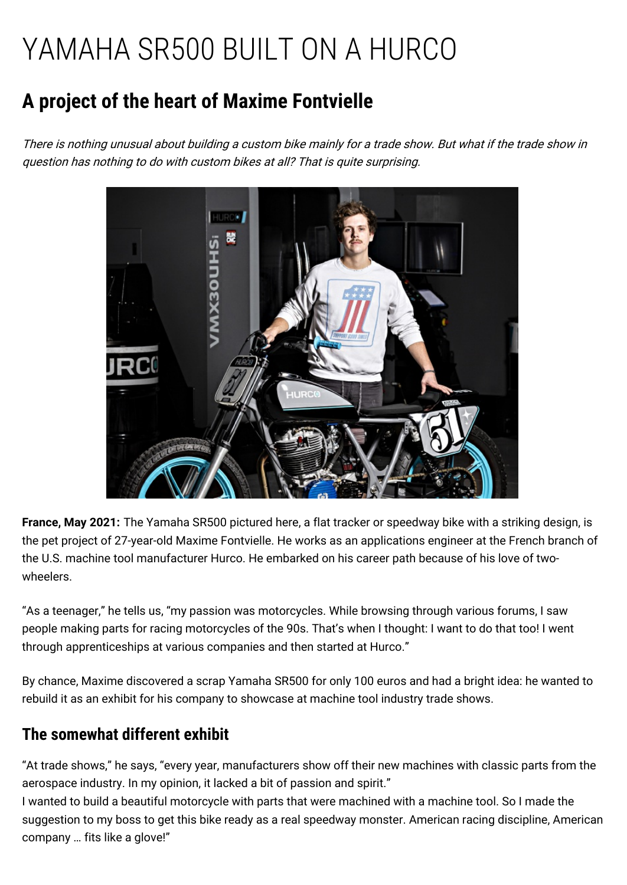# YAMAHA SR500 BUILT ON A HURCO

## **A project of the heart of Maxime Fontvielle**

There is nothing unusual about building <sup>a</sup> custom bike mainly for <sup>a</sup> trade show. But what if the trade show in question has nothing to do with custom bikes at all? That is quite surprising.



**France, May 2021:** The Yamaha SR500 pictured here, a flat tracker or speedway bike with a striking design, is the pet project of 27-year-old Maxime Fontvielle. He works as an applications engineer at the French branch of the U.S. machine tool manufacturer Hurco. He embarked on his career path because of his love of twowheelers.

"As a teenager," he tells us, "my passion was motorcycles. While browsing through various forums, I saw people making parts for racing motorcycles of the 90s. That's when I thought: I want to do that too! I went through apprenticeships at various companies and then started at Hurco."

By chance, Maxime discovered a scrap Yamaha SR500 for only 100 euros and had a bright idea: he wanted to rebuild it as an exhibit for his company to showcase at machine tool industry trade shows.

### **The somewhat different exhibit**

"At trade shows," he says, "every year, manufacturers show off their new machines with classic parts from the aerospace industry. In my opinion, it lacked a bit of passion and spirit."

I wanted to build a beautiful motorcycle with parts that were machined with a machine tool. So I made the suggestion to my boss to get this bike ready as a real speedway monster. American racing discipline, American company … fits like a glove!"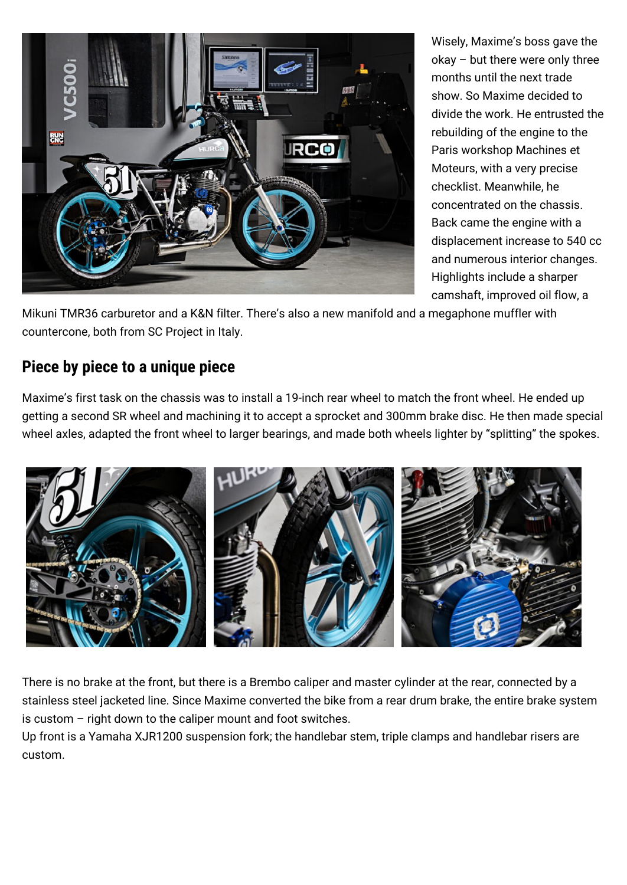

Wisely, Maxime's boss gave the okay – but there were only three months until the next trade show. So Maxime decided to divide the work. He entrusted the rebuilding of the engine to the Paris workshop Machines et Moteurs, with a very precise checklist. Meanwhile, he concentrated on the chassis. Back came the engine with a displacement increase to 540 cc and numerous interior changes. Highlights include a sharper camshaft, improved oil flow, a

Mikuni TMR36 carburetor and a K&N filter. There's also a new manifold and a megaphone muffler with countercone, both from SC Project in Italy.

#### **Piece by piece to a unique piece**

Maxime's first task on the chassis was to install a 19-inch rear wheel to match the front wheel. He ended up getting a second SR wheel and machining it to accept a sprocket and 300mm brake disc. He then made special wheel axles, adapted the front wheel to larger bearings, and made both wheels lighter by "splitting" the spokes.



There is no brake at the front, but there is a Brembo caliper and master cylinder at the rear, connected by a stainless steel jacketed line. Since Maxime converted the bike from a rear drum brake, the entire brake system is custom – right down to the caliper mount and foot switches.

Up front is a Yamaha XJR1200 suspension fork; the handlebar stem, triple clamps and handlebar risers are custom.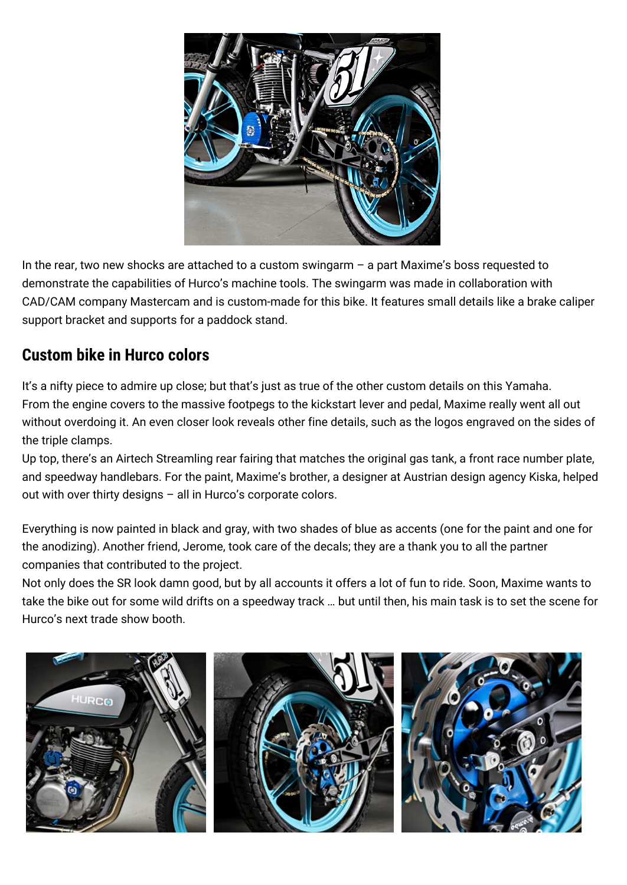

In the rear, two new shocks are attached to a custom swingarm – a part Maxime's boss requested to demonstrate the capabilities of Hurco's machine tools. The swingarm was made in collaboration with CAD/CAM company Mastercam and is custom-made for this bike. It features small details like a brake caliper support bracket and supports for a paddock stand.

#### **Custom bike in Hurco colors**

It's a nifty piece to admire up close; but that's just as true of the other custom details on this Yamaha. From the engine covers to the massive footpegs to the kickstart lever and pedal, Maxime really went all out without overdoing it. An even closer look reveals other fine details, such as the logos engraved on the sides of the triple clamps.

Up top, there's an Airtech Streamling rear fairing that matches the original gas tank, a front race number plate, and speedway handlebars. For the paint, Maxime's brother, a designer at Austrian design agency Kiska, helped out with over thirty designs – all in Hurco's corporate colors.

Everything is now painted in black and gray, with two shades of blue as accents (one for the paint and one for the anodizing). Another friend, Jerome, took care of the decals; they are a thank you to all the partner companies that contributed to the project.

Not only does the SR look damn good, but by all accounts it offers a lot of fun to ride. Soon, Maxime wants to take the bike out for some wild drifts on a speedway track … but until then, his main task is to set the scene for Hurco's next trade show booth.